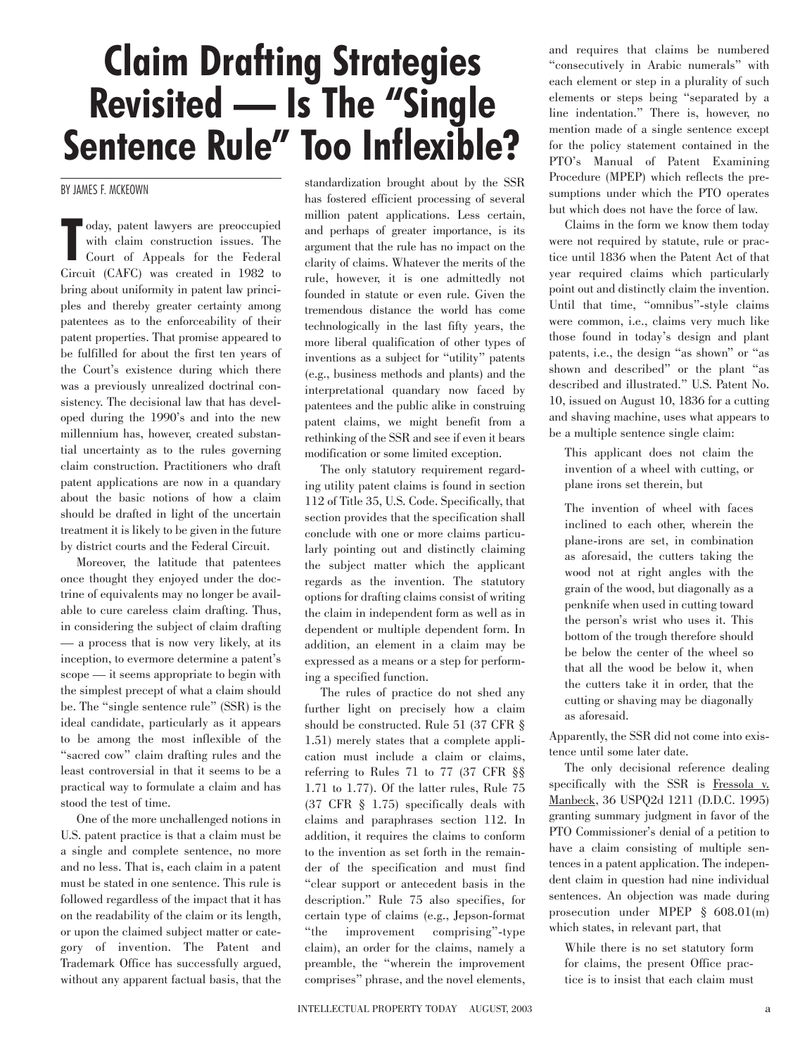## **Claim Drafting Strategies Revisited — Is The "Single Sentence Rule" Too Inflexible?**

BY JAMES F. MCKEOWN

oday, patent lawyers are preoccupied<br>
with claim construction issues. The<br>
Court of Appeals for the Federal<br>
Circuit (CAFC) was created in 1982 to oday, patent lawyers are preoccupied with claim construction issues. The Court of Appeals for the Federal bring about uniformity in patent law principles and thereby greater certainty among patentees as to the enforceability of their patent properties. That promise appeared to be fulfilled for about the first ten years of the Court's existence during which there was a previously unrealized doctrinal consistency. The decisional law that has developed during the 1990's and into the new millennium has, however, created substantial uncertainty as to the rules governing claim construction. Practitioners who draft patent applications are now in a quandary about the basic notions of how a claim should be drafted in light of the uncertain treatment it is likely to be given in the future by district courts and the Federal Circuit.

Moreover, the latitude that patentees once thought they enjoyed under the doctrine of equivalents may no longer be available to cure careless claim drafting. Thus, in considering the subject of claim drafting — a process that is now very likely, at its inception, to evermore determine a patent's scope — it seems appropriate to begin with the simplest precept of what a claim should be. The "single sentence rule" (SSR) is the ideal candidate, particularly as it appears to be among the most inflexible of the "sacred cow" claim drafting rules and the least controversial in that it seems to be a practical way to formulate a claim and has stood the test of time.

One of the more unchallenged notions in U.S. patent practice is that a claim must be a single and complete sentence, no more and no less. That is, each claim in a patent must be stated in one sentence. This rule is followed regardless of the impact that it has on the readability of the claim or its length, or upon the claimed subject matter or category of invention. The Patent and Trademark Office has successfully argued, without any apparent factual basis, that the

standardization brought about by the SSR has fostered efficient processing of several million patent applications. Less certain, and perhaps of greater importance, is its argument that the rule has no impact on the clarity of claims. Whatever the merits of the rule, however, it is one admittedly not founded in statute or even rule. Given the tremendous distance the world has come technologically in the last fifty years, the more liberal qualification of other types of inventions as a subject for "utility" patents (e.g., business methods and plants) and the interpretational quandary now faced by patentees and the public alike in construing patent claims, we might benefit from a rethinking of the SSR and see if even it bears modification or some limited exception.

The only statutory requirement regarding utility patent claims is found in section 112 of Title 35, U.S. Code. Specifically, that section provides that the specification shall conclude with one or more claims particularly pointing out and distinctly claiming the subject matter which the applicant regards as the invention. The statutory options for drafting claims consist of writing the claim in independent form as well as in dependent or multiple dependent form. In addition, an element in a claim may be expressed as a means or a step for performing a specified function.

The rules of practice do not shed any further light on precisely how a claim should be constructed. Rule 51 (37 CFR § 1.51) merely states that a complete application must include a claim or claims, referring to Rules 71 to 77 (37 CFR §§ 1.71 to 1.77). Of the latter rules, Rule 75 (37 CFR § 1.75) specifically deals with claims and paraphrases section 112. In addition, it requires the claims to conform to the invention as set forth in the remainder of the specification and must find "clear support or antecedent basis in the description." Rule 75 also specifies, for certain type of claims (e.g., Jepson-format "the improvement comprising"-type claim), an order for the claims, namely a preamble, the "wherein the improvement comprises" phrase, and the novel elements, and requires that claims be numbered "consecutively in Arabic numerals" with each element or step in a plurality of such elements or steps being "separated by a line indentation." There is, however, no mention made of a single sentence except for the policy statement contained in the PTO's Manual of Patent Examining Procedure (MPEP) which reflects the presumptions under which the PTO operates but which does not have the force of law.

Claims in the form we know them today were not required by statute, rule or practice until 1836 when the Patent Act of that year required claims which particularly point out and distinctly claim the invention. Until that time, "omnibus"-style claims were common, i.e., claims very much like those found in today's design and plant patents, i.e., the design "as shown" or "as shown and described" or the plant "as described and illustrated." U.S. Patent No. 10, issued on August 10, 1836 for a cutting and shaving machine, uses what appears to be a multiple sentence single claim:

This applicant does not claim the invention of a wheel with cutting, or plane irons set therein, but

The invention of wheel with faces inclined to each other, wherein the plane-irons are set, in combination as aforesaid, the cutters taking the wood not at right angles with the grain of the wood, but diagonally as a penknife when used in cutting toward the person's wrist who uses it. This bottom of the trough therefore should be below the center of the wheel so that all the wood be below it, when the cutters take it in order, that the cutting or shaving may be diagonally as aforesaid.

Apparently, the SSR did not come into existence until some later date.

The only decisional reference dealing specifically with the SSR is Fressola v. Manbeck, 36 USPQ2d 1211 (D.D.C. 1995) granting summary judgment in favor of the PTO Commissioner's denial of a petition to have a claim consisting of multiple sentences in a patent application. The independent claim in question had nine individual sentences. An objection was made during prosecution under MPEP § 608.01(m) which states, in relevant part, that

While there is no set statutory form for claims, the present Office practice is to insist that each claim must